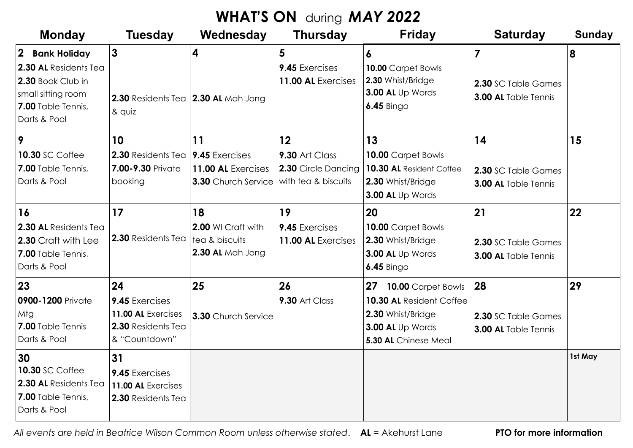## **WHAT'S ON** during *MAY 2022*

| <b>Monday</b>                                                                                                                                   | <b>Tuesday</b>                                                                    | Wednesday                                                                | <b>Thursday</b>                                                    | <b>Friday</b>                                                                                                             | <b>Saturday</b>                                                      | <b>Sunday</b> |
|-------------------------------------------------------------------------------------------------------------------------------------------------|-----------------------------------------------------------------------------------|--------------------------------------------------------------------------|--------------------------------------------------------------------|---------------------------------------------------------------------------------------------------------------------------|----------------------------------------------------------------------|---------------|
| $\overline{2}$<br><b>Bank Holiday</b><br>2.30 AL Residents Tea<br>2.30 Book Club in<br>small sitting room<br>7.00 Table Tennis,<br>Darts & Pool | $\mathbf{3}$<br>2.30 Residents Tea 2.30 AL Mah Jong<br>& quiz                     | $\overline{\mathbf{4}}$                                                  | 5<br>9.45 Exercises<br>11.00 AL Exercises                          | 6<br>10.00 Carpet Bowls<br>2.30 Whist/Bridge<br>3.00 AL Up Words<br><b>6.45 Bingo</b>                                     | $\overline{7}$<br>2.30 SC Table Games<br><b>3.00 AL</b> Table Tennis | 8             |
| 9<br><b>10.30 SC Coffee</b><br>7.00 Table Tennis,<br>Darts & Pool                                                                               | 10<br>2.30 Residents Tea<br>7.00-9.30 Private<br>booking                          | 11<br>9.45 Exercises<br>11.00 AL Exercises<br><b>3.30</b> Church Service | 12<br>9.30 Art Class<br>2.30 Circle Dancing<br>with tea & biscuits | 13<br>10.00 Carpet Bowls<br>10.30 AL Resident Coffee<br>2.30 Whist/Bridge<br>3.00 AL Up Words                             | 14<br>2.30 SC Table Games<br>3.00 AL Table Tennis                    | 15            |
| 16<br>2.30 AL Residents Tea<br>2.30 Craft with Lee<br>7.00 Table Tennis,<br>Darts & Pool                                                        | 17<br>2.30 Residents Tea                                                          | 18<br>2.00 WI Craft with<br>tea & biscuits<br>2.30 AL Mah Jong           | 19<br>9.45 Exercises<br>11.00 AL Exercises                         | 20<br>10.00 Carpet Bowls<br>2.30 Whist/Bridge<br>3.00 AL Up Words<br>$6.45$ Bingo                                         | 21<br>2.30 SC Table Games<br>3.00 AL Table Tennis                    | 22            |
| 23<br>0900-1200 Private<br>Mtg<br>7.00 Table Tennis<br>Darts & Pool                                                                             | 24<br>9.45 Exercises<br>11.00 AL Exercises<br>2.30 Residents Tea<br>& "Countdown" | 25<br>3.30 Church Service                                                | 26<br>9.30 Art Class                                               | <b>27 10.00 Carpet Bowls</b><br>10.30 AL Resident Coffee<br>2.30 Whist/Bridge<br>3.00 AL Up Words<br>5.30 AL Chinese Meal | 28<br>2.30 SC Table Games<br>3.00 AL Table Tennis                    | 29            |
| 30<br><b>10.30 SC Coffee</b><br>2.30 AL Residents Tea<br>7.00 Table Tennis,<br>Darts & Pool                                                     | 31<br>9.45 Exercises<br>11.00 AL Exercises<br>2.30 Residents Tea                  |                                                                          |                                                                    |                                                                                                                           |                                                                      | 1st May       |

 *All events are held in Beatrice Wilson Common Room unless otherwise stated*. **AL** = Akehurst Lane **PTO for more information**